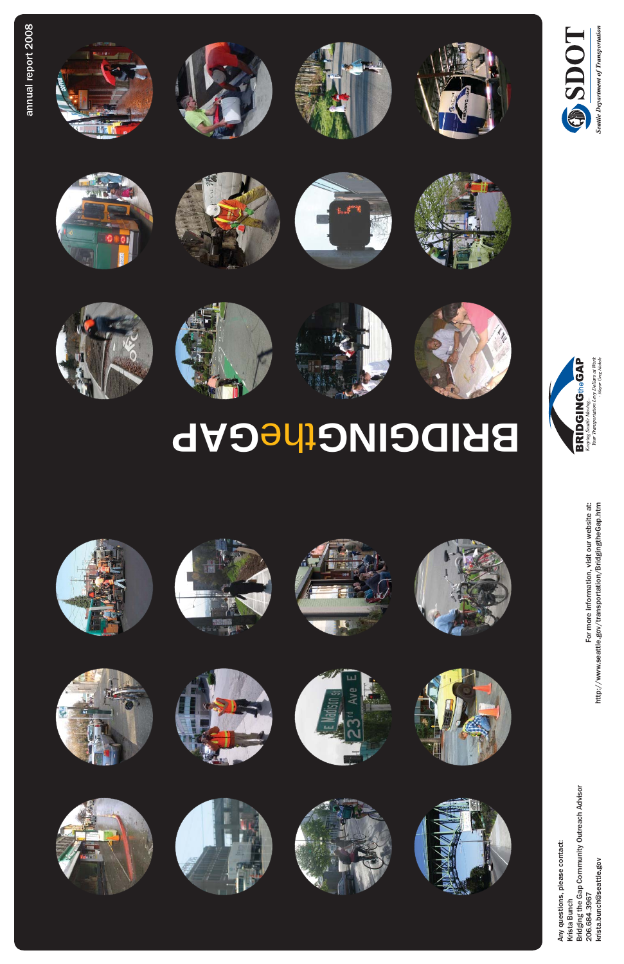











#### BRIDGING the CAP











































For more information, visit our website at:<br>http://www.seattle.gov/transportation/BridgingtheGap.htm For more information, visit our website at: http://www.seattle.gov/transportation/BridgingtheGap.htm

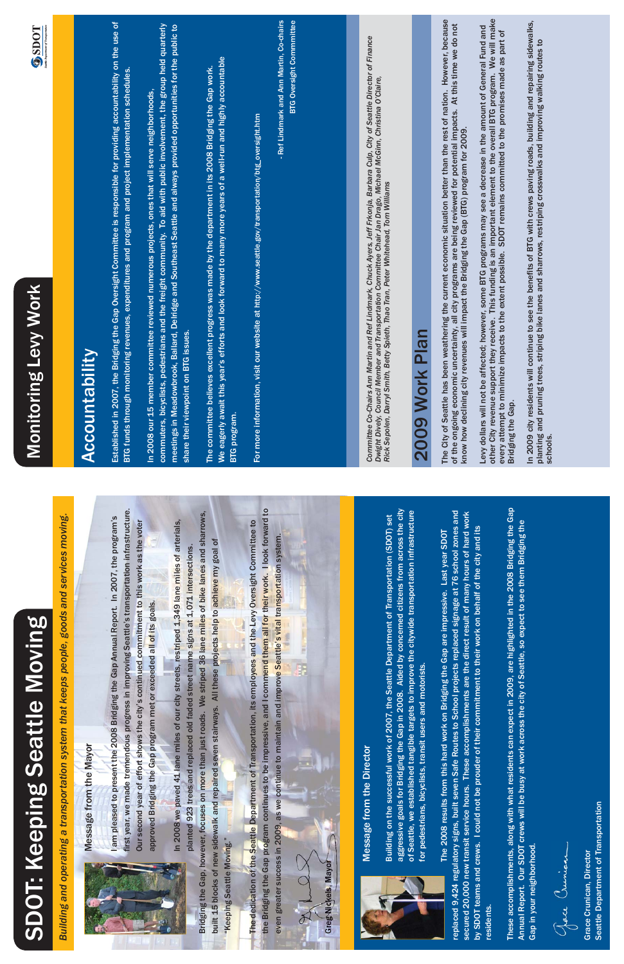| <b>OD</b> |
|-----------|
|           |
|           |
|           |
|           |
|           |
| ŕ         |



first year, we made tremendous progress in improving Seattle's transportation infrastructure. first year, we made tremendous progress in improving Seattle's transportation infrastructure. I am pleased to present the 2008 Bridging the Gap Annual Report. In 2007, the program's I am pleased to present the 2008 Bridging the Gap Annual Report. In 2007, the program's Our second year of effort shows the city's continued commitment to this work as the voter Our second year of effort shows the city's continued commitment to this work as the voter approved Bridging the Gap program met or exceeded all of its goals. approved Bridging the Gap program met or exceeded all of its goals.

Bridging the Gap, however, focuses on more than just roads. We striped 36 lane miles of bike lanes and sharrows, We striped 36 lane miles of bike lanes and sharrows, In 2008 we paved 41 lane miles of our city streets, restriped 1,349 lane miles of arterials, In 2008 we paved 41 lane miles of our city streets, restriped 1,349 lane miles of arterials, built 15 blocks of new sidewalk and repaired seven stairways. All these projects help to achieve my goal of built 15 blocks of new sidewalk and repaired seven stairways. All these projects help to achieve my goal of planted 923 trees and replaced old faded street name signs at 1,071 intersections. planted 923 trees and replaced old faded street name signs at 1,071 intersections. Bridging the Gap, however, focuses on more than just roads. "Keeping Seattle Moving." "Keeping Seattle Moving."

the Bridging the Gap program continues to be impressive, and I commend them all for their work. I look forward to the Bridging the Gap program continues to be impressive, and I commend them all for their work. I look forward to The dedication of the Seattle Department of Transportation, its employees and the Levy Oversight Committee to ts employees and the Levy Oversight Committee to even greater success in 2009, as we continue to maintain and improve Seattle's vital transportation system. even greater success in 2009, as we continue to maintain and improve Seattle's vital transportation system. The dedication of the Seattle Department of Transportation, ii

# SDOT: Keeping Seattle Moving **SDOT: Keeping Seattle**

*Building and operating a transportation system that keeps people, goods and services moving.* Building and operating a transportation system that



#### Message from the Mayor Message from the Mayor



# **Greg Nickels, Mayor<br>
Message from the Director**

aggressive goals for Bridging the Gap in 2008. Aided by concerned citizens from across the city of Seattle, we established tangible targets to improve the citywide transportation infrastructure aggressive goals for Bridging the Gap in 2008. Aided by concerned citizens from across the city of Seattle, we established tangible targets to improve the citywide transportation infrastructure Building on the successful work of 2007, the Seattle Department of Transportation (SDOT) set the Seattle Department of Transportation (SDOT) set for pedestrians, bicyclists, transit users and motorists. for pedestrians, bicyclists, transit users and motorists. Building on the successful work of 2007,

replaced 9,424 regulatory signs, built seven Safe Routes to School projects replaced signage at 76 school zones and replaced 9,424 regulatory signs, built seven Safe Routes to School projects replaced signage at 76 school zones and secured 20,000 new transit service hours. These accomplishments are the direct result of many hours of hard work lents are the direct result of many hours of hard work mitment to their work on behalf of the city and its by SDOT teams and crews. I could not be prouder of their commitment to their work on behalf of the city and its Bridging the Gap are impressive. Last year SDOT The 2008 results from this hard work on Bridging the Gap are impressive. Last year SDOT secured 20,000 new transit service hours. These accomplishm by SDOT teams and crews. I could not be prouder of their comu The 2008 results from this hard work on residents. residents.

Greg Nickels, Mayor

Joe Cumian

Seattle Department of Transportation Seattle Department of Transportation Grace Crunican, Director Grace Crunican, Director

### 2009 Work Plan 2009 Work Plan

The City of Seattle has been weathering the current economic situation better than the rest of nation. However, because The City of Seattle has been weathering the current economic situation better than the rest of nation. However, because of the ongoing economic uncertainty, all city programs are being reviewed for potential impacts. At this time we do not of the ongoing economic uncertainty, all city programs are being reviewed for potential impacts. At this time we do not know how declining city revenues will impact the Bridging the Gap (BTG) program for 2009. know how declining city revenues will impact the Bridging the Gap (BTG) program for 2009.

other City revenue support they receive. This funding is an important element to the overall BTG program. We will make other City revenue support they receive. This funding is an important element to the overall BTG program. We will make<br>every attempt to minimize impacts to the extent possible. SDOT remains committed to the promises made a Levy dollars will not be affected; however, some BTG programs may see a decrease in the amount of General Fund and Levy dollars will not be affected; however, some BTG programs may see a decrease in the amount of General Fund and every attempt to minimize impacts to the extent possible. SDOT remains committed to the promises made as part of Bridging the Gap. Bridging the Gap.

#### Accountability Accountability

Established in 2007, the Bridging the Gap Oversight Committee is responsible for providing accountability on the use of Established in 2007, the Bridging the Gap Oversight Committee is responsible for providing accountability on the use of BTG funds through monitoring revenues, expenditures and program and project implementation schedules. BTG funds through monitoring revenues, expenditures and program and project implementation schedules.

commuters, bicyclists, pedestrians and the freight community. To aid with public involvement, the group held quarterly commuters, bicyclists, pedestrians and the freight community. To aid with public involvement, the group held quarterly meetings in Meadowbrook, Ballard, Delridge and Southeast Seattle and always provided opportunities for the public to meetings in Meadowbrook, Ballard, Delridge and Southeast Seattle and always provided opportunities for the public to In 2008 our 15 member committee reviewed numerous projects, ones that will serve neighborhoods, In 2008 our 15 member committee reviewed numerous projects, ones that will serve neighborhoods, share their viewpoint on BTG issues. share their viewpoint on BTG issues.

We eagerly await this year's efforts and look forward to many more years of a well-run and highly accountable We eagerly await this year's efforts and look forward to many more years of a well-run and highly accountable The committee believes excellent progress was made by the department in its 2008 Bridging the Gap work. The committee believes excellent progress was made by the department in its 2008 Bridging the Gap work. BTG program. BTG program.

For more information, visit our website at http://www.seattle.gov/transportation/btg\_oversight.htm http://www.seattle.gov/transportation/btg\_oversight.htm For more information, visit our website at

In 2009 city residents will continue to see the benefits of BTG with crews paving roads, building and repairing sidewalks, In 2009 city residents will continue to see the benefits of BTG with crews paving roads, building and repairing sidewalks, planting and pruning trees, striping bike lanes and sharrows, restriping crosswalks and improving walking routes to planting and pruning trees, striping bike lanes and sharrows, restriping crosswalks and improving walking routes to schools.

- Ref Lindmark and Ann Martin, Co-chairs **BTG Oversight Commmittee** - Ref Lindmark and Ann Martin, Co-chairs BTG Oversight Commmittee

## **Monitoring Levy Work** Monitoring Levy Work

#### **TOUS®**

These accomplishments, along with what residents can expect in 2009, are highlighted in the 2008 Bridging the Gap in 2009, are highlighted in the 2008 Bridging the Gap Annual Report. Our SDOT crews will be busy at work across the city of Seattle, so expect to see them Bridging the Annual Report. Our SDOT crews will be busy at work across the city of Seattle, so expect to see them Bridging the These accomplishments, along with what residents can expect Gap in your neighborhood. Gap in your neighborhood.

Committee Co-Chairs Ann Martin and Ref Lindmark, Chuck Ayers, Jeff Frkonja, Barbara Culp, City of Seattle Director of Finance<br>Dwight Dively, Council Member and Transportation Committee Chair Jan Drago, Michael McGinn, Chri *Committee Co-Chairs Ann Martin and Ref Lindmark, Chuck Ayers, Jeff Frkonja, Barbara Culp, City of Seattle Director of Finance Dwight Dively, Council Member and Transportation Committee Chair Jan Drago, Michael McGinn, Christina O'Claire, Rick Sepolen, Darryl Smith, Betty Spieth, Thao Tran, Peter Whitehead, Tom Williams*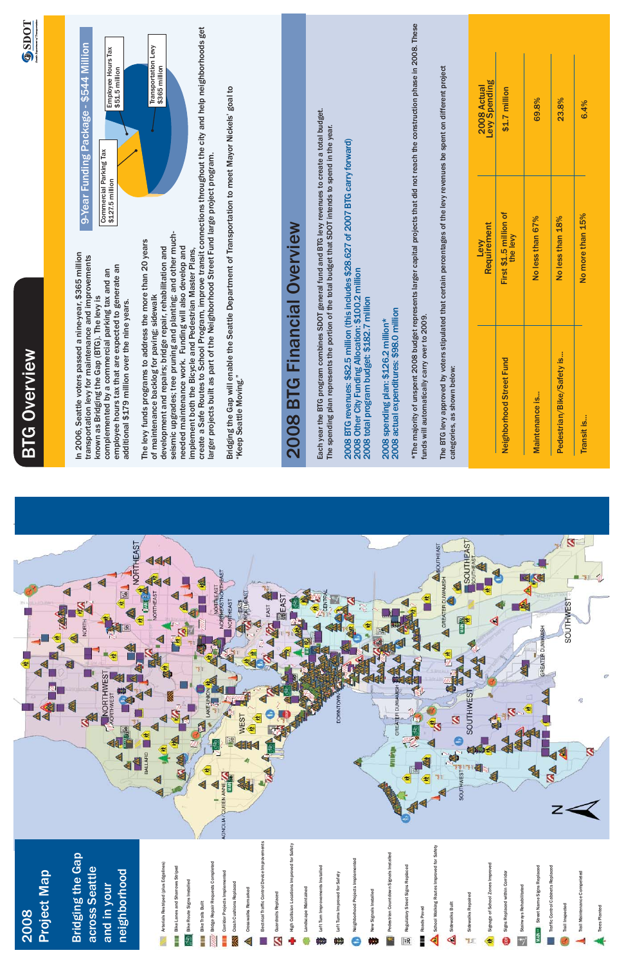| <u>ሬ</u><br>ዘ<br>$\sum_{\mathbf{Q}}$<br>ʹ<br>ï |  |
|------------------------------------------------|--|
|                                                |  |
|                                                |  |
|                                                |  |



In 2006, Seattle voters passed a nine-year, \$365 million In 2006, Seattle voters passed a nine-year, \$365 million transportation levy for maintenance and improvements transportation levy for maintenance and improvements employee hours tax that are expected to generate an employee hours tax that are expected to generate an complemented by a commercial parking tax and an complemented by a commercial parking tax and an known as Bridging the Gap (BTG). The levy is known as Bridging the Gap (BTG). The levy is additional \$179 million over the nine years. additional \$179 million over the nine years.

create a Safe Routes to School Program, improve transit connections throughout the city and help neighborhoods get seismic upgrades; tree pruning and planting; and other muchseismic upgrades; tree pruning and planting; and other much-The levy funds programs to address the more than 20 years The levy funds programs to address the more than 20 years development and repairs; bridge repair, rehabilitation and needed maintenance work. Funding will also develop and needed maintenance work. Funding will also develop and implement both the Bicycle and Pedestrian Master Plans, development and repairs; bridge repair, rehabilitation and implement both the Bicycle and Pedestrian Master Plans, of maintenance backlog for paving; sidewalk of maintenance backlog for paving; sidewalk

## 9-Year Funding Package - \$544 Million 9-Year Funding Package - \$544 Million

Each year the BTG program combines SDOT general fund and BTG levy revenues to create a total budget. Each year the BTG program combines SDOT general fund and BTG levy revenues to create a total budget. The spending plan represents the portion of the total budget that SDOT intends to spend in the year. The spending plan represents the portion of the total budget that SDOT intends to spend in the year.

create a Safe Routes to School Program, improve transit connections throughout the city and help neighborhoods get larger projects built as part of the Neighborhood Street Fund large project program. larger projects built as part of the Neighborhood Street Fund large project program.

Bridging the Gap will enable the Seattle Department of Transportation to meet Mayor Nickels' goal to Bridging the Gap will enable the Seattle Department of Transportation to meet Mayor Nickels' goal to "Keep Seattle Moving." "Keep Seattle Moving."

### Financial Overview 2008 BTG Financial Overview **BTG** 2008

2008 actual expenditures: \$98.0 million 2008 actual expenditures: \$98.0 million 2008 spending plan: \$126.2 million\* 2008 spending plan: \$126.2 million\*

\*The majority of unspent 2008 budget represents larger capital projects that did not reach the construction phase in 2008. These \*The majority of unspent 2008 budget represents larger capital projects that did not reach the construction phase in 2008. These funds will automatically carry over to 2009. funds will automatically carry over to 2009.

The BTG levy approved by voters stipulated that certain percentages of the levy revenues be spent on different project The BTG levy approved by voters stipulated that certain percentages of the levy revenues be spent on different project categories, as shown below: categories, as shown below:



#### Project Map Project Map 2008

2008 BTG revenues: \$82.5 million (this includes \$28.627 of 2007 BTG carry forward) 2008 BTG revenues: \$82.5 million (this includes \$28.627 of 2007 BTG carry forward) 2008 Other City Funding Allocation: \$100.2 million 2008 Other City Funding Allocation: \$100.2 million<br>2008 total program budget: \$182.7 million 2008 total program budget: \$182.7 million

| 2008 Actual<br>Levy Spending | \$1.7 million                      | 69.8%            | 23.8%                     | 6.4%             |
|------------------------------|------------------------------------|------------------|---------------------------|------------------|
| Levy<br>Requirement          | First \$1.5 million of<br>the levy | No less than 67% | No less than 18%          | No more than 15% |
|                              | <b>Fund</b><br>Neighborhood Street | Maintenance is   | Pedestrian/Bike/Safety is | Transit is       |

#### Bridging the Gap **Bridging the Gap** across Seattle across Seattle neighborhood neighborhood and in your and in your



Trees Planted

Trees Planted